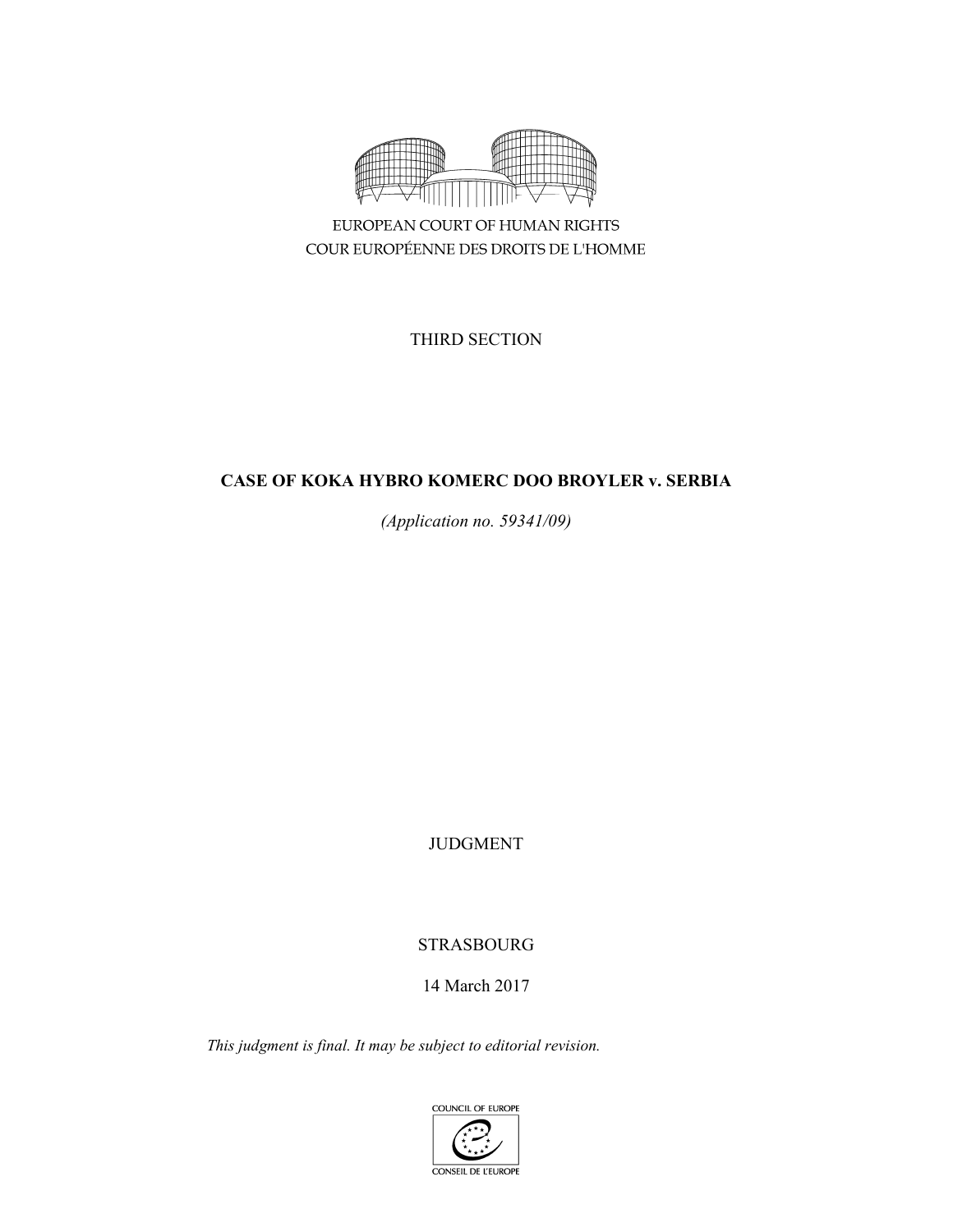

EUROPEAN COURT OF HUMAN RIGHTS COUR EUROPÉENNE DES DROITS DE L'HOMME

THIRD SECTION

# **CASE OF KOKA HYBRO KOMERC DOO BROYLER v. SERBIA**

*(Application no. 59341/09)* 

JUDGMENT

# STRASBOURG

# 14 March 2017

*This judgment is final. It may be subject to editorial revision.* 

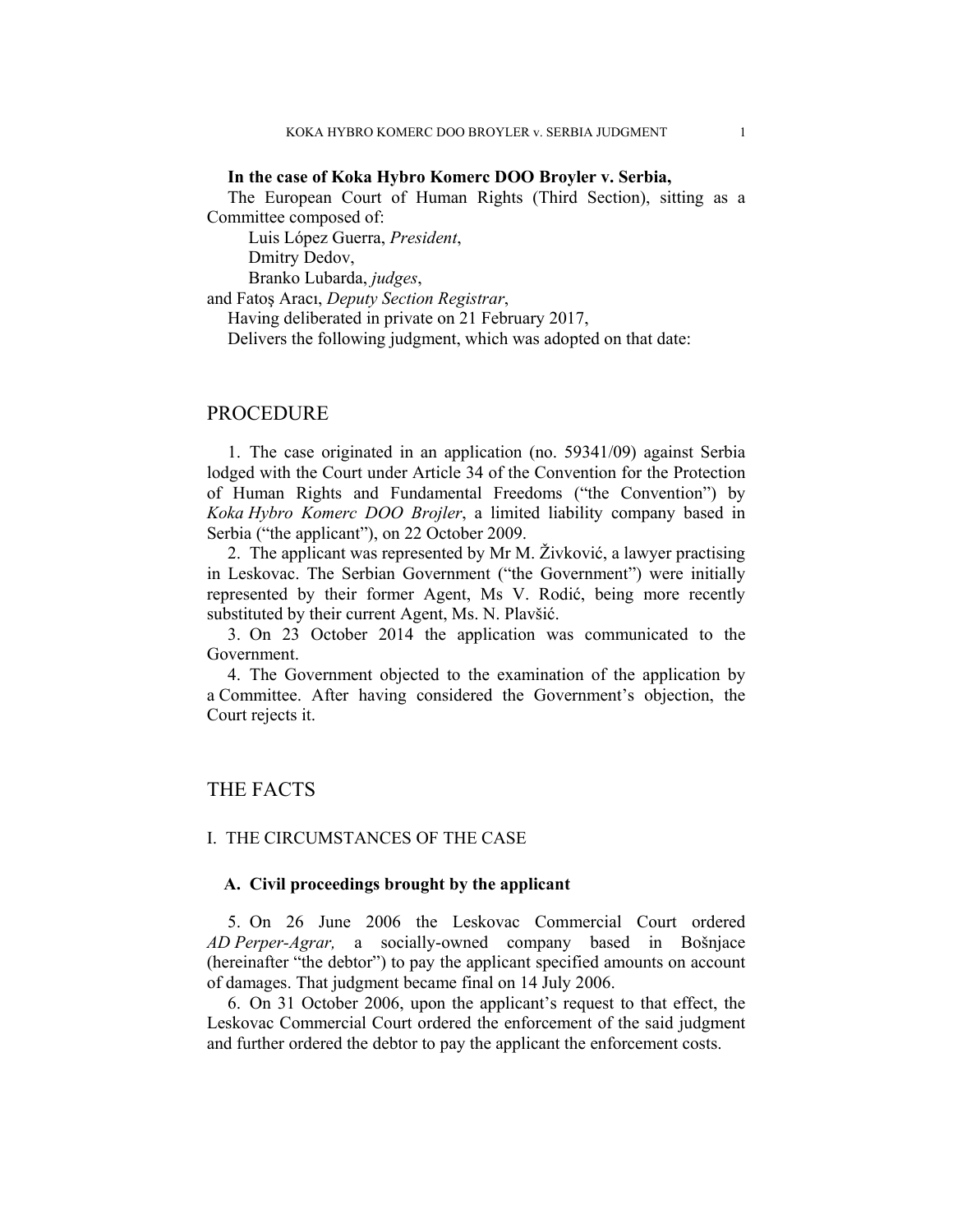### **In the case of Koka Hybro Komerc DOO Broyler v. Serbia,**

The European Court of Human Rights (Third Section), sitting as a Committee composed of:

Luis López Guerra, *President*,

Dmitry Dedov,

Branko Lubarda, *judges*,

and Fatoş Aracı, *Deputy Section Registrar*,

Having deliberated in private on 21 February 2017,

Delivers the following judgment, which was adopted on that date:

## PROCEDURE

1. The case originated in an application (no. 59341/09) against Serbia lodged with the Court under Article 34 of the Convention for the Protection of Human Rights and Fundamental Freedoms ("the Convention") by *Koka Hybro Komerc DOO Brojler*, a limited liability company based in Serbia ("the applicant"), on 22 October 2009.

2. The applicant was represented by Mr M. Živković, a lawyer practising in Leskovac. The Serbian Government ("the Government") were initially represented by their former Agent, Ms V. Rodić, being more recently substituted by their current Agent, Ms. N. Plavšić.

3. On 23 October 2014 the application was communicated to the Government.

4. The Government objected to the examination of the application by a Committee. After having considered the Government's objection, the Court rejects it.

## THE FACTS

### I. THE CIRCUMSTANCES OF THE CASE

### **A. Civil proceedings brought by the applicant**

5. On 26 June 2006 the Leskovac Commercial Court ordered *AD Perper-Agrar,* a socially-owned company based in Bošnjace (hereinafter "the debtor") to pay the applicant specified amounts on account of damages. That judgment became final on 14 July 2006.

6. On 31 October 2006, upon the applicant's request to that effect, the Leskovac Commercial Court ordered the enforcement of the said judgment and further ordered the debtor to pay the applicant the enforcement costs.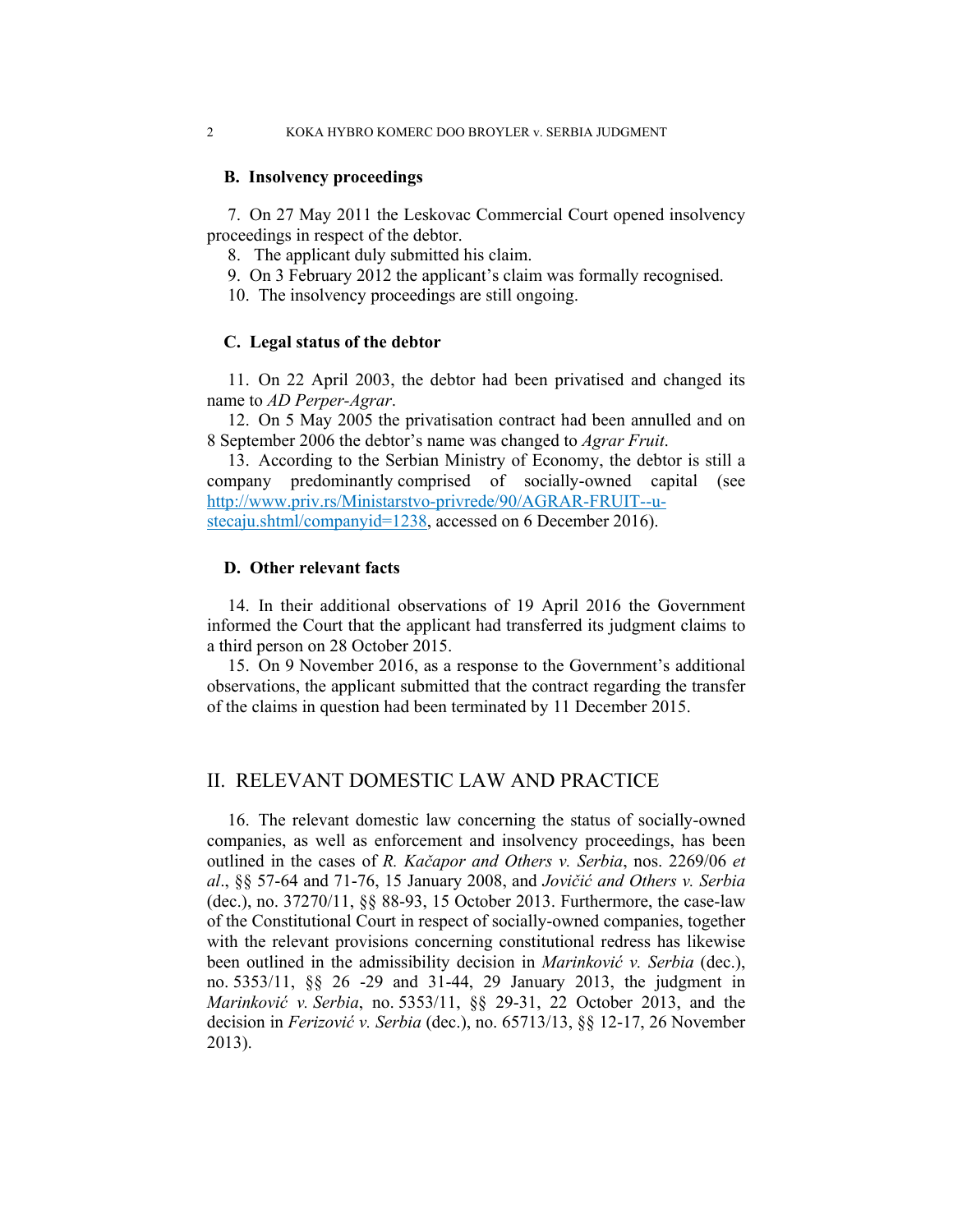### **B. Insolvency proceedings**

7. On 27 May 2011 the Leskovac Commercial Court opened insolvency proceedings in respect of the debtor.

8. The applicant duly submitted his claim.

- 9. On 3 February 2012 the applicant's claim was formally recognised.
- 10. The insolvency proceedings are still ongoing.

### **C. Legal status of the debtor**

11. On 22 April 2003, the debtor had been privatised and changed its name to *AD Perper-Agrar*.

12. On 5 May 2005 the privatisation contract had been annulled and on 8 September 2006 the debtor's name was changed to *Agrar Fruit*.

13. According to the Serbian Ministry of Economy, the debtor is still a company predominantly comprised of socially-owned capital (see http://www.priv.rs/Ministarstvo-privrede/90/AGRAR-FRUIT--ustecaju.shtml/companyid=1238, accessed on 6 December 2016).

### **D. Other relevant facts**

14. In their additional observations of 19 April 2016 the Government informed the Court that the applicant had transferred its judgment claims to a third person on 28 October 2015.

15. On 9 November 2016, as a response to the Government's additional observations, the applicant submitted that the contract regarding the transfer of the claims in question had been terminated by 11 December 2015.

## II. RELEVANT DOMESTIC LAW AND PRACTICE

16. The relevant domestic law concerning the status of socially-owned companies, as well as enforcement and insolvency proceedings, has been outlined in the cases of *R. Kačapor and Others v. Serbia*, nos. 2269/06 *et al*., §§ 57-64 and 71-76, 15 January 2008, and *Jovičić and Others v. Serbia* (dec.), no. 37270/11, §§ 88-93, 15 October 2013. Furthermore, the case-law of the Constitutional Court in respect of socially-owned companies, together with the relevant provisions concerning constitutional redress has likewise been outlined in the admissibility decision in *Marinković v. Serbia* (dec.), no. 5353/11, §§ 26 -29 and 31-44, 29 January 2013, the judgment in *Marinković v. Serbia*, no. 5353/11, §§ 29-31, 22 October 2013, and the decision in *Ferizović v. Serbia* (dec.), no. 65713/13, §§ 12-17, 26 November 2013).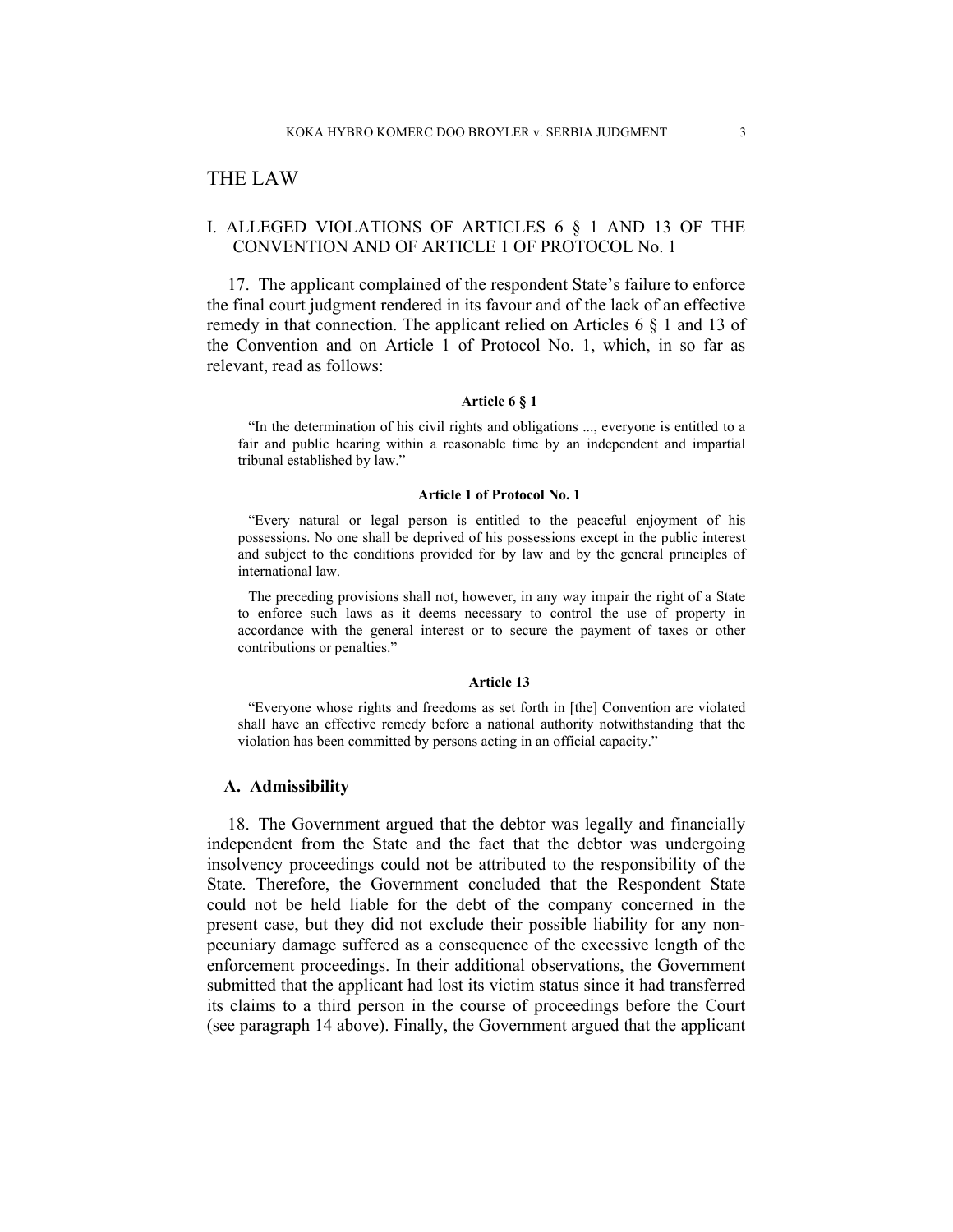## THE LAW

### I. ALLEGED VIOLATIONS OF ARTICLES 6 § 1 AND 13 OF THE CONVENTION AND OF ARTICLE 1 OF PROTOCOL No. 1

17. The applicant complained of the respondent State's failure to enforce the final court judgment rendered in its favour and of the lack of an effective remedy in that connection. The applicant relied on Articles 6 § 1 and 13 of the Convention and on Article 1 of Protocol No. 1, which, in so far as relevant, read as follows:

### **Article 6 § 1**

"In the determination of his civil rights and obligations ..., everyone is entitled to a fair and public hearing within a reasonable time by an independent and impartial tribunal established by law."

#### **Article 1 of Protocol No. 1**

"Every natural or legal person is entitled to the peaceful enjoyment of his possessions. No one shall be deprived of his possessions except in the public interest and subject to the conditions provided for by law and by the general principles of international law.

The preceding provisions shall not, however, in any way impair the right of a State to enforce such laws as it deems necessary to control the use of property in accordance with the general interest or to secure the payment of taxes or other contributions or penalties."

#### **Article 13**

"Everyone whose rights and freedoms as set forth in [the] Convention are violated shall have an effective remedy before a national authority notwithstanding that the violation has been committed by persons acting in an official capacity."

### **A. Admissibility**

18. The Government argued that the debtor was legally and financially independent from the State and the fact that the debtor was undergoing insolvency proceedings could not be attributed to the responsibility of the State. Therefore, the Government concluded that the Respondent State could not be held liable for the debt of the company concerned in the present case, but they did not exclude their possible liability for any nonpecuniary damage suffered as a consequence of the excessive length of the enforcement proceedings. In their additional observations, the Government submitted that the applicant had lost its victim status since it had transferred its claims to a third person in the course of proceedings before the Court (see paragraph 14 above). Finally, the Government argued that the applicant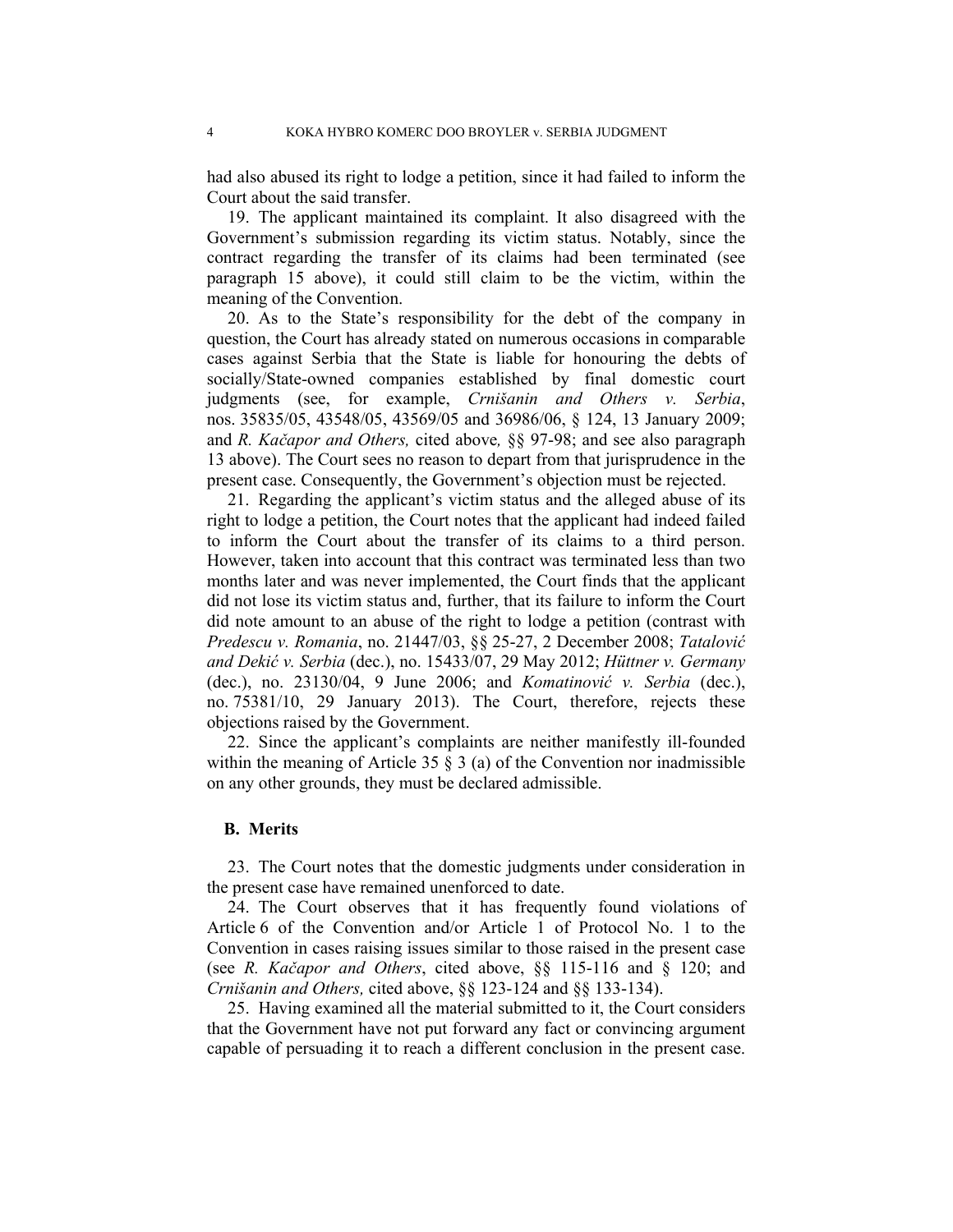had also abused its right to lodge a petition, since it had failed to inform the Court about the said transfer.

19. The applicant maintained its complaint. It also disagreed with the Government's submission regarding its victim status. Notably, since the contract regarding the transfer of its claims had been terminated (see paragraph 15 above), it could still claim to be the victim, within the meaning of the Convention.

20. As to the State's responsibility for the debt of the company in question, the Court has already stated on numerous occasions in comparable cases against Serbia that the State is liable for honouring the debts of socially/State-owned companies established by final domestic court judgments (see, for example, *Crnišanin and Others v. Serbia*, nos. 35835/05, 43548/05, 43569/05 and 36986/06, § 124, 13 January 2009; and *R. Kačapor and Others,* cited above*,* §§ 97-98; and see also paragraph 13 above). The Court sees no reason to depart from that jurisprudence in the present case. Consequently, the Government's objection must be rejected.

21. Regarding the applicant's victim status and the alleged abuse of its right to lodge a petition, the Court notes that the applicant had indeed failed to inform the Court about the transfer of its claims to a third person. However, taken into account that this contract was terminated less than two months later and was never implemented, the Court finds that the applicant did not lose its victim status and, further, that its failure to inform the Court did note amount to an abuse of the right to lodge a petition (contrast with *Predescu v. Romania*, no. 21447/03, §§ 25-27, 2 December 2008; *Tatalović and Dekić v. Serbia* (dec.), no. 15433/07, 29 May 2012; *Hüttner v. Germany* (dec.), no. 23130/04, 9 June 2006; and *Komatinović v. Serbia* (dec.), no. 75381/10, 29 January 2013). The Court, therefore, rejects these objections raised by the Government.

22. Since the applicant's complaints are neither manifestly ill-founded within the meaning of Article 35  $\S$  3 (a) of the Convention nor inadmissible on any other grounds, they must be declared admissible.

#### **B. Merits**

23. The Court notes that the domestic judgments under consideration in the present case have remained unenforced to date.

24. The Court observes that it has frequently found violations of Article 6 of the Convention and/or Article 1 of Protocol No. 1 to the Convention in cases raising issues similar to those raised in the present case (see *R. Kačapor and Others*, cited above, §§ 115-116 and § 120; and *Crnišanin and Others,* cited above, §§ 123-124 and §§ 133-134).

25. Having examined all the material submitted to it, the Court considers that the Government have not put forward any fact or convincing argument capable of persuading it to reach a different conclusion in the present case.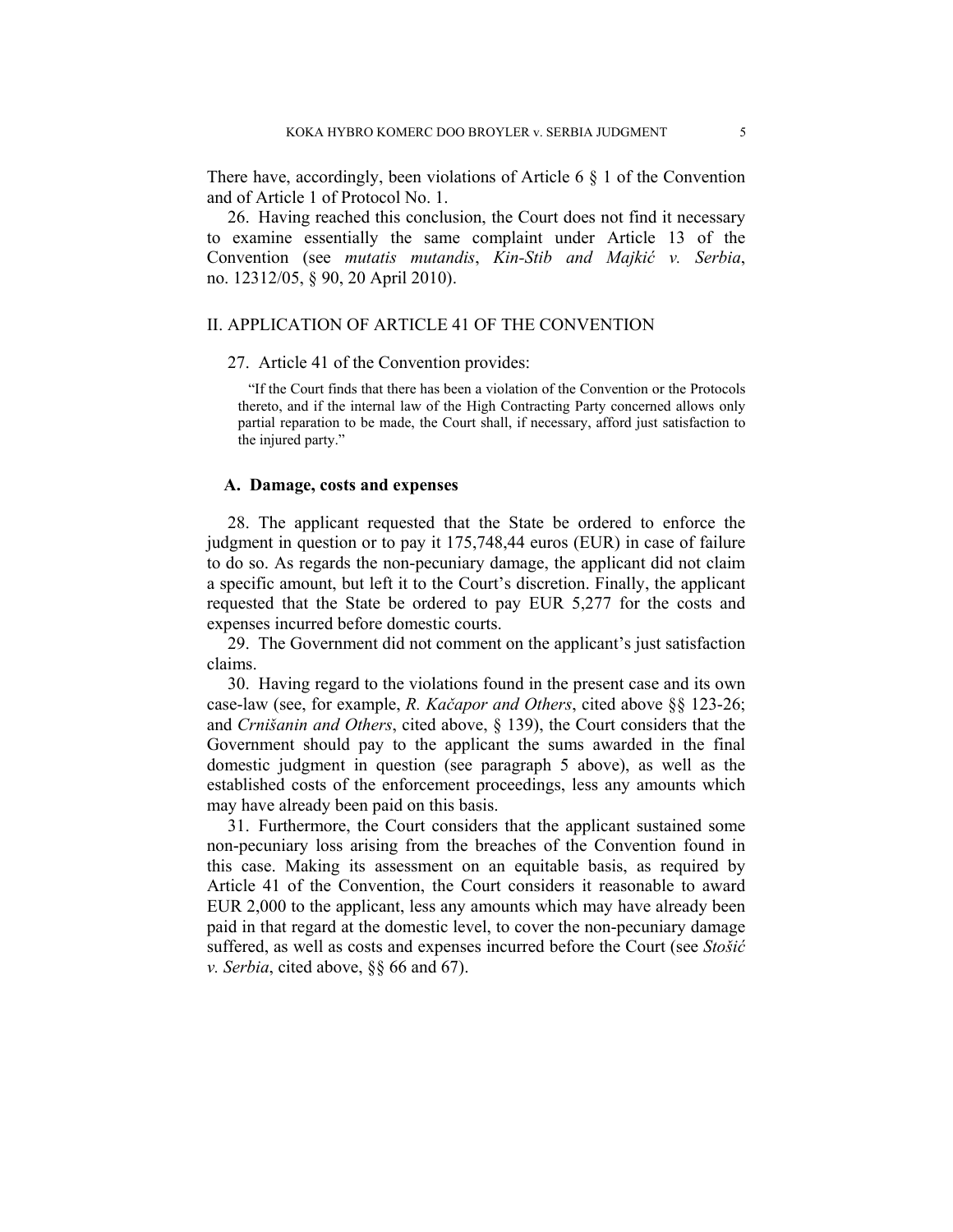There have, accordingly, been violations of Article 6 § 1 of the Convention and of Article 1 of Protocol No. 1.

26. Having reached this conclusion, the Court does not find it necessary to examine essentially the same complaint under Article 13 of the Convention (see *mutatis mutandis*, *Kin-Stib and Majkić v. Serbia*, no. 12312/05, § 90, 20 April 2010).

### II. APPLICATION OF ARTICLE 41 OF THE CONVENTION

#### 27. Article 41 of the Convention provides:

"If the Court finds that there has been a violation of the Convention or the Protocols thereto, and if the internal law of the High Contracting Party concerned allows only partial reparation to be made, the Court shall, if necessary, afford just satisfaction to the injured party."

### **A. Damage, costs and expenses**

28. The applicant requested that the State be ordered to enforce the judgment in question or to pay it 175,748,44 euros (EUR) in case of failure to do so. As regards the non-pecuniary damage, the applicant did not claim a specific amount, but left it to the Court's discretion. Finally, the applicant requested that the State be ordered to pay EUR 5,277 for the costs and expenses incurred before domestic courts.

29. The Government did not comment on the applicant's just satisfaction claims.

30. Having regard to the violations found in the present case and its own case-law (see, for example, *R. Kačapor and Others*, cited above §§ 123-26; and *Crnišanin and Others*, cited above, § 139), the Court considers that the Government should pay to the applicant the sums awarded in the final domestic judgment in question (see paragraph 5 above), as well as the established costs of the enforcement proceedings, less any amounts which may have already been paid on this basis.

31. Furthermore, the Court considers that the applicant sustained some non-pecuniary loss arising from the breaches of the Convention found in this case. Making its assessment on an equitable basis, as required by Article 41 of the Convention, the Court considers it reasonable to award EUR 2,000 to the applicant, less any amounts which may have already been paid in that regard at the domestic level, to cover the non-pecuniary damage suffered, as well as costs and expenses incurred before the Court (see *Stošić v. Serbia*, cited above, §§ 66 and 67).